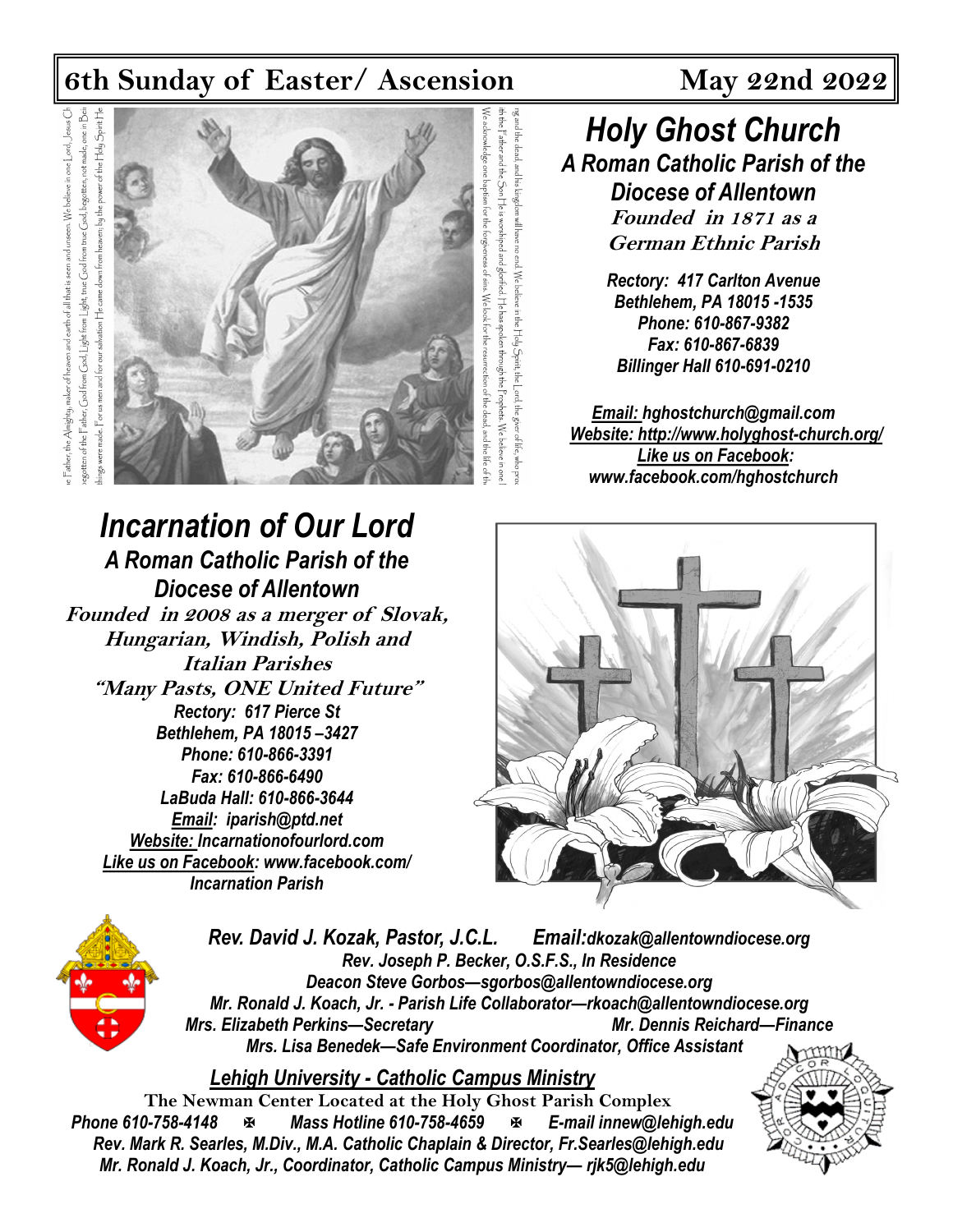## **6th Sunday of Easter/ Ascension May 22nd 2022**

otten of the Father, God from God, Light from Light, true God from true God, begotten, not made, one in Bei power of the Holy Spirit He Father, the Almighty, maker of heaven and earth of all that is seen and unseen. We believe in one  $\lfloor$  ord,  $\rfloor$  beus  $C$ came down from heaven; by the salvation He made. For us men and for



*Incarnation of Our Lord*

*A Roman Catholic Parish of the Diocese of Allentown* **Founded in 2008 as a merger of Slovak, Hungarian, Windish, Polish and Italian Parishes "Many Pasts, ONE United Future"** *Rectory: 617 Pierce St Bethlehem, PA 18015 –3427 Phone: 610-866-3391 Fax: 610-866-6490 LaBuda Hall: 610-866-3644 Email: iparish@ptd.net Website: Incarnationofourlord.com Like us on Facebook: [www.facebook.com/](https://www.facebook.com/hghostchurch)  Incarnation Parish*

*Holy Ghost Church A Roman Catholic Parish of the Diocese of Allentown* **Founded in 1871 as a German Ethnic Parish**

> *Rectory: 417 Carlton Avenue Bethlehem, PA 18015 -1535 Phone: 610-867-9382 Fax: 610-867-6839 Billinger Hall 610-691-0210*

*Email: hghostchurch@gmail.com Website: http://www.holyghost-church.org/ Like us on Facebook: [www.facebook.com/hghostchurch](https://www.facebook.com/hghostchurch)*





*Rev. David J. Kozak, Pastor, J.C.L. Email:dkozak@allentowndiocese.org Rev. Joseph P. Becker, O.S.F.S., In Residence Deacon Steve Gorbos—sgorbos@allentowndiocese.org Mr. Ronald J. Koach, Jr. - Parish Life Collaborator—rkoach@allentowndiocese.org Mrs. Elizabeth Perkins—Secretary Mr. Dennis Reichard—Finance Mrs. Lisa Benedek—Safe Environment Coordinator, Office Assistant* 

z and the dead, and his

. We belie

*Lehigh University - Catholic Campus Ministry*

**The Newman Center Located at the Holy Ghost Parish Complex**<br>**Phone 610-758-4148 E-mail innew@let** *Phone 610-758-4148 Mass Hotline 610-758-4659 E-mail innew@lehigh.edu Rev. Mark R. Searles, M.Div., M.A. Catholic Chaplain & Director, Fr.Searles@lehigh.edu Mr. Ronald J. Koach, Jr., Coordinator, Catholic Campus Ministry— rjk5@lehigh.edu* 

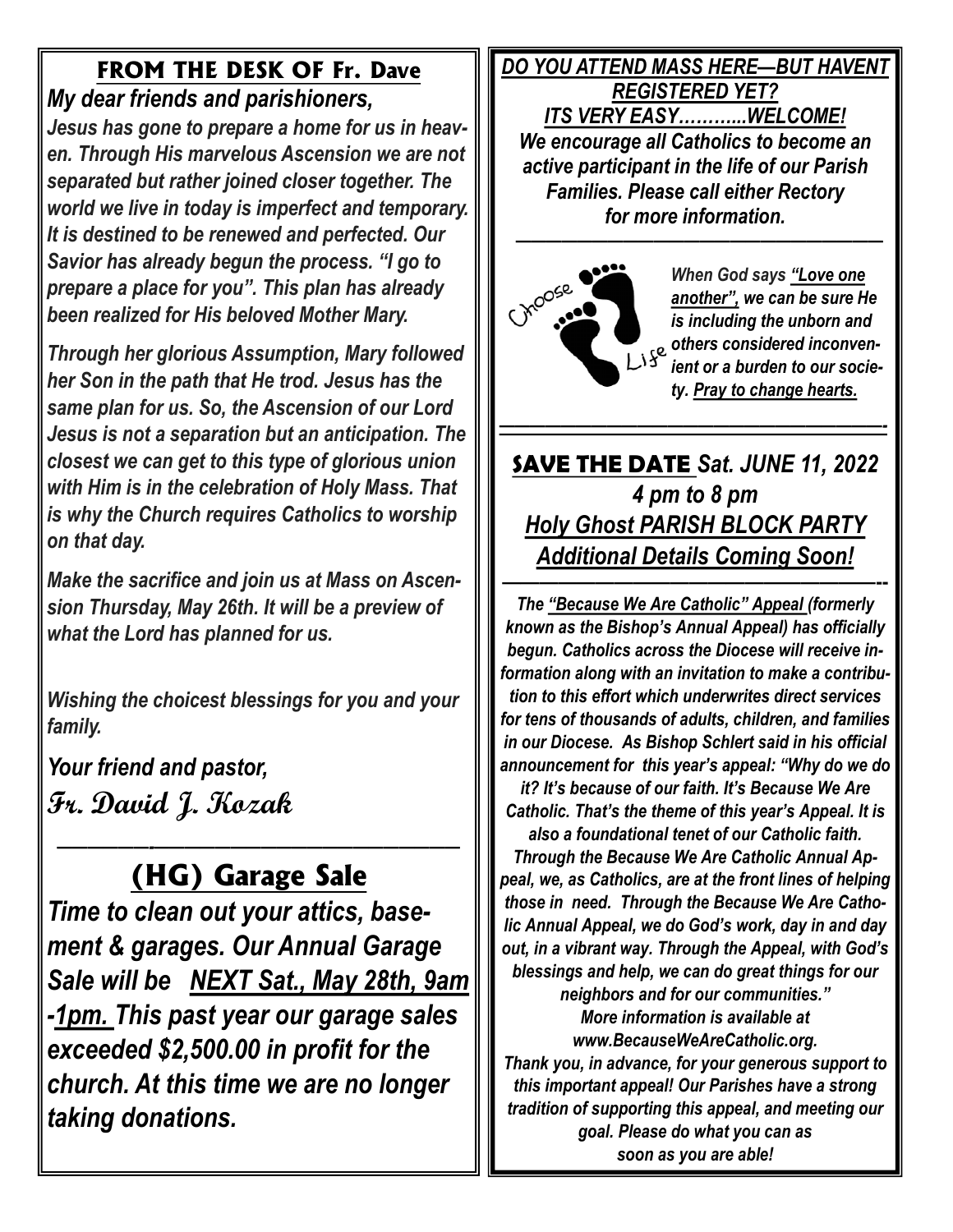## **FROM THE DESK OF Fr. Dave** *My dear friends and parishioners,*

*Jesus has gone to prepare a home for us in heaven. Through His marvelous Ascension we are not separated but rather joined closer together. The world we live in today is imperfect and temporary. It is destined to be renewed and perfected. Our Savior has already begun the process. "I go to prepare a place for you". This plan has already been realized for His beloved Mother Mary.*

*Through her glorious Assumption, Mary followed her Son in the path that He trod. Jesus has the same plan for us. So, the Ascension of our Lord Jesus is not a separation but an anticipation. The closest we can get to this type of glorious union with Him is in the celebration of Holy Mass. That is why the Church requires Catholics to worship on that day.* 

*Make the sacrifice and join us at Mass on Ascension Thursday, May 26th. It will be a preview of what the Lord has planned for us.*

*Wishing the choicest blessings for you and your family.* 

*Your friend and pastor,*  **Fr. David J. Kozak**

### *——————-————————————————————*  **(HG) Garage Sale**

*Time to clean out your attics, basement & garages. Our Annual Garage Sale will be NEXT Sat., May 28th, 9am -1pm. This past year our garage sales exceeded \$2,500.00 in profit for the church. At this time we are no longer taking donations.* 

*DO YOU ATTEND MASS HERE—BUT HAVENT REGISTERED YET? ITS VERY EASY………...WELCOME! We encourage all Catholics to become an active participant in the life of our Parish Families. Please call either Rectory for more information. ————————————————————————* 



*When God says "Love one another", we can be sure He is including the unborn and others considered inconvenient or a burden to our society. Pray to change hearts.*

**SAVE THE DATE** *Sat. JUNE 11, 2022 4 pm to 8 pm Holy Ghost PARISH BLOCK PARTY Additional Details Coming Soon!*  **————————————————————--**

*—————————————————————————-*

*The "Because We Are Catholic" Appeal (formerly known as the Bishop's Annual Appeal) has officially begun. Catholics across the Diocese will receive information along with an invitation to make a contribution to this effort which underwrites direct services for tens of thousands of adults, children, and families in our Diocese. As Bishop Schlert said in his official announcement for this year's appeal: "Why do we do* 

*it? It's because of our faith. It's Because We Are Catholic. That's the theme of this year's Appeal. It is also a foundational tenet of our Catholic faith.* 

*Through the Because We Are Catholic Annual Appeal, we, as Catholics, are at the front lines of helping those in need. Through the Because We Are Catholic Annual Appeal, we do God's work, day in and day out, in a vibrant way. Through the Appeal, with God's blessings and help, we can do great things for our neighbors and for our communities." More information is available at www.BecauseWeAreCatholic.org.* 

*Thank you, in advance, for your generous support to this important appeal! Our Parishes have a strong tradition of supporting this appeal, and meeting our goal. Please do what you can as soon as you are able!*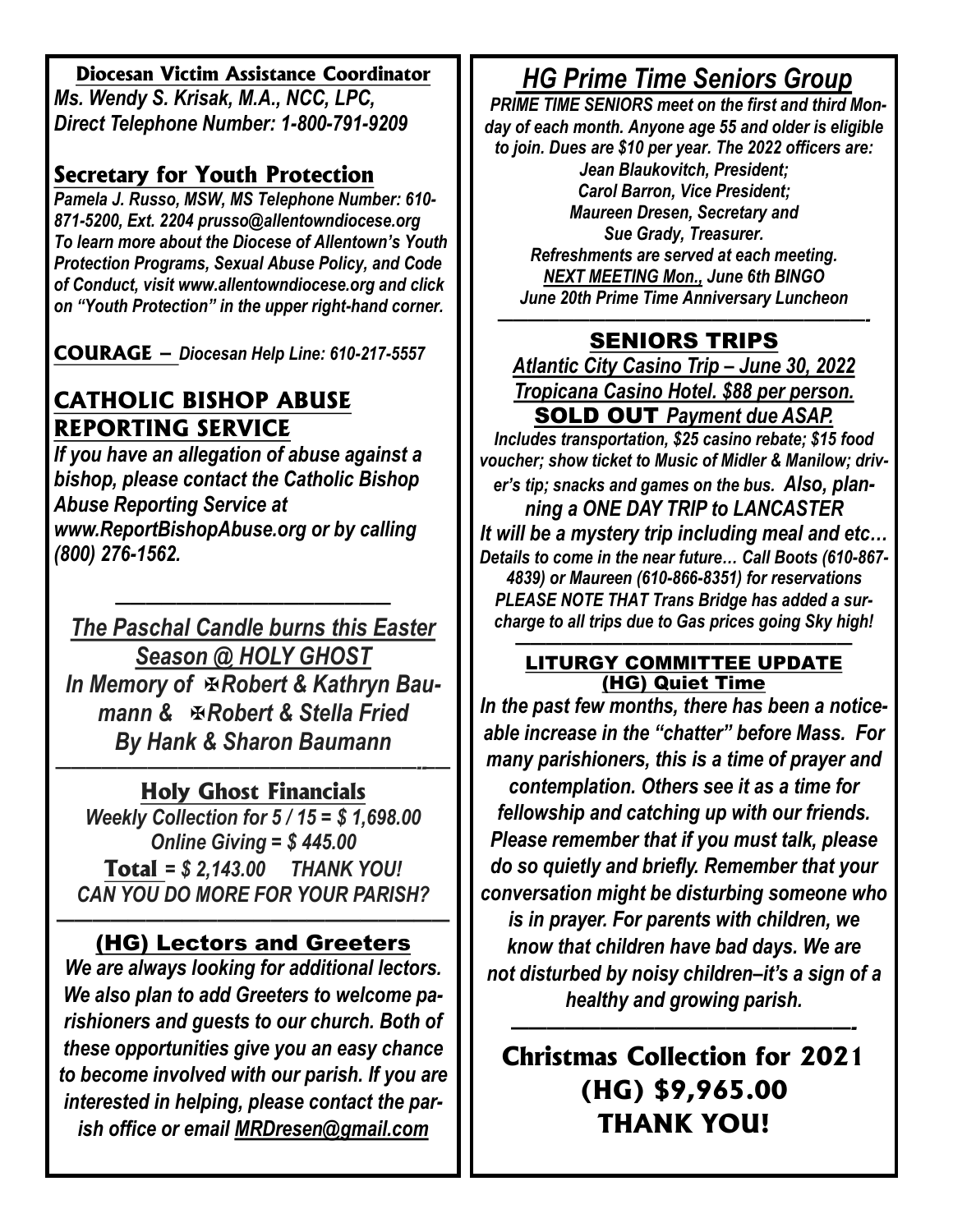#### **Diocesan Victim Assistance Coordinator**

*Ms. Wendy S. Krisak, M.A., NCC, LPC, Direct Telephone Number: 1-800-791-9209* 

### **Secretary for Youth Protection**

*Pamela J. Russo, MSW, MS Telephone Number: 610- 871-5200, Ext. 2204 prusso@allentowndiocese.org To learn more about the Diocese of Allentown's Youth Protection Programs, Sexual Abuse Policy, and Code of Conduct, visit www.allentowndiocese.org and click on "Youth Protection" in the upper right-hand corner.* 

**COURAGE –** *Diocesan Help Line: 610-217-5557* 

## **CATHOLIC BISHOP ABUSE REPORTING SERVICE**

*If you have an allegation of abuse against a bishop, please contact the Catholic Bishop Abuse Reporting Service at www.ReportBishopAbuse.org or by calling (800) 276-1562.*

*—————————————————— The Paschal Candle burns this Easter Season @ HOLY GHOST*  **In Memory of <b>ERobert & Kathryn Bau***mann & Robert & Stella Fried By Hank & Sharon Baumann*

#### *————————————————–———————--–—* **Holy Ghost Financials**

*Weekly Collection for 5 / 15 = \$ 1,698.00 Online Giving = \$ 445.00*  **Total** *= \$ 2,143.00 THANK YOU! CAN YOU DO MORE FOR YOUR PARISH?*

#### *——————————————————————* **(HG) Lectors and Greeters**

*We are always looking for additional lectors. We also plan to add Greeters to welcome parishioners and guests to our church. Both of these opportunities give you an easy chance to become involved with our parish. If you are interested in helping, please contact the parish office or email [MRDresen@gmail.com](mailto:MRDresen@gmail.com)*

# *HG Prime Time Seniors Group*

 *PRIME TIME SENIORS meet on the first and third Monday of each month. Anyone age 55 and older is eligible to join. Dues are \$10 per year. The 2022 officers are:* 

*Jean Blaukovitch, President; Carol Barron, Vice President; Maureen Dresen, Secretary and Sue Grady, Treasurer. Refreshments are served at each meeting. NEXT MEETING Mon., June 6th BINGO June 20th Prime Time Anniversary Luncheon*

#### *————————————————————————-* **SENIORS TRIPS**

*Atlantic City Casino Trip – June 30, 2022 Tropicana Casino Hotel. \$88 per person.*  **SOLD OUT** *Payment due ASAP.* 

*Includes transportation, \$25 casino rebate; \$15 food voucher; show ticket to Music of Midler & Manilow; driver's tip; snacks and games on the bus. Also, planning a ONE DAY TRIP to LANCASTER It will be a mystery trip including meal and etc… Details to come in the near future… Call Boots (610-867- 4839) or Maureen (610-866-8351) for reservations PLEASE NOTE THAT Trans Bridge has added a surcharge to all trips due to Gas prices going Sky high!*

#### *——————————————————————* **LITURGY COMMITTEE UPDATE (HG) Quiet Time**

*In the past few months, there has been a noticeable increase in the "chatter" before Mass. For many parishioners, this is a time of prayer and contemplation. Others see it as a time for fellowship and catching up with our friends. Please remember that if you must talk, please do so quietly and briefly. Remember that your conversation might be disturbing someone who is in prayer. For parents with children, we know that children have bad days. We are not disturbed by noisy children–it's a sign of a healthy and growing parish.* 

# **Christmas Collection for 2021 (HG) \$9,965.00 THANK YOU!**

*———————————————————-*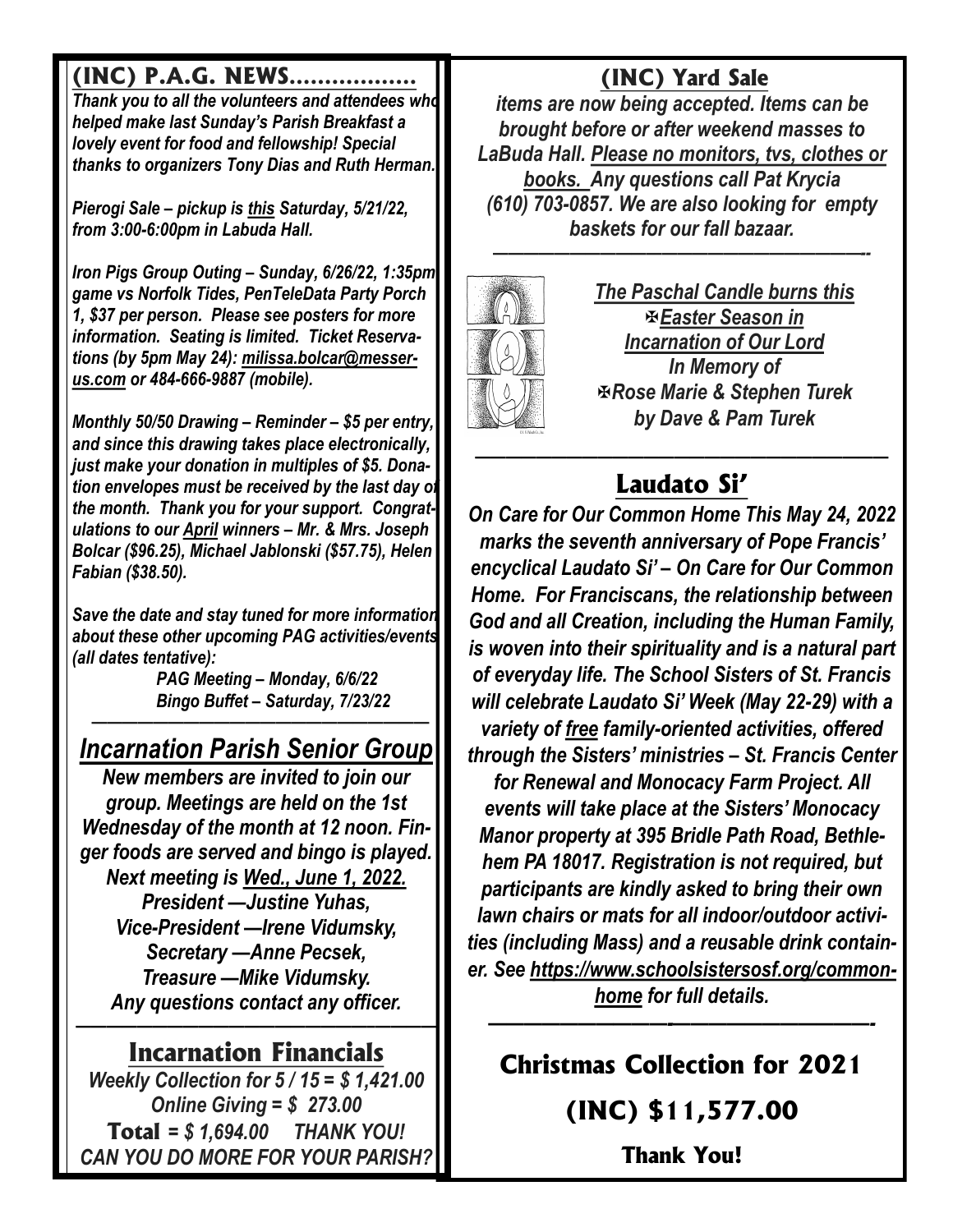# **(INC) P.A.G. NEWS………………**

*Thank you to all the volunteers and attendees who helped make last Sunday's Parish Breakfast a lovely event for food and fellowship! Special thanks to organizers Tony Dias and Ruth Herman.*

*Pierogi Sale – pickup is this Saturday, 5/21/22, from 3:00-6:00pm in Labuda Hall.*

*Iron Pigs Group Outing – Sunday, 6/26/22, 1:35pm game vs Norfolk Tides, PenTeleData Party Porch 1, \$37 per person. Please see posters for more information. Seating is limited. Ticket Reservations (by 5pm May 24): [milissa.bolcar@messer](mailto:milissa.bolcar@messer-us.com)[us.com](mailto:milissa.bolcar@messer-us.com) or 484-666-9887 (mobile).*

*Monthly 50/50 Drawing – Reminder – \$5 per entry, and since this drawing takes place electronically, just make your donation in multiples of \$5. Donation envelopes must be received by the last day of the month. Thank you for your support. Congratulations to our April winners – Mr. & Mrs. Joseph Bolcar (\$96.25), Michael Jablonski (\$57.75), Helen Fabian (\$38.50).*

*Save the date and stay tuned for more information about these other upcoming PAG activities/events (all dates tentative):*

> *PAG Meeting – Monday, 6/6/22 Bingo Buffet – Saturday, 7/23/22*

### *—————————————————————— Incarnation Parish Senior Group*

*New members are invited to join our group. Meetings are held on the 1st Wednesday of the month at 12 noon. Finger foods are served and bingo is played. Next meeting is Wed., June 1, 2022. President —Justine Yuhas, Vice-President —Irene Vidumsky, Secretary —Anne Pecsek, Treasure —Mike Vidumsky. Any questions contact any officer.* 

### *———————————————————–————* **Incarnation Financials**

*Weekly Collection for 5 / 15 = \$ 1,421.00 Online Giving = \$ 273.00*  **Total** *= \$ 1,694.00 THANK YOU! CAN YOU DO MORE FOR YOUR PARISH?* 

# **(INC) Yard Sale**

*items are now being accepted. Items can be brought before or after weekend masses to LaBuda Hall. Please no monitors, tvs, clothes or books. Any questions call Pat Krycia (610) 703-0857. We are also looking for empty baskets for our fall bazaar. ————————————————————————--* 



*The Paschal Candle burns this Easter Season in Incarnation of Our Lord In Memory of Rose Marie & Stephen Turek by Dave & Pam Turek* 

### *———————————————————————————* **Laudato Si'**

*On Care for Our Common Home This May 24, 2022 marks the seventh anniversary of Pope Francis' encyclical Laudato Si' – On Care for Our Common Home. For Franciscans, the relationship between God and all Creation, including the Human Family, is woven into their spirituality and is a natural part of everyday life. The School Sisters of St. Francis will celebrate Laudato Si' Week (May 22-29) with a variety of free family-oriented activities, offered through the Sisters' ministries – St. Francis Center for Renewal and Monocacy Farm Project. All* 

*events will take place at the Sisters' Monocacy Manor property at 395 Bridle Path Road, Bethlehem PA 18017. Registration is not required, but participants are kindly asked to bring their own lawn chairs or mats for all indoor/outdoor activities (including Mass) and a reusable drink container. See [https://www.schoolsistersosf.org/common](https://www.schoolsistersosf.org/common-home)[home](https://www.schoolsistersosf.org/common-home) for full details.* 

**Christmas Collection for 2021**

*——————————-———————————-*

**(INC) \$11,577.00**

**Thank You!**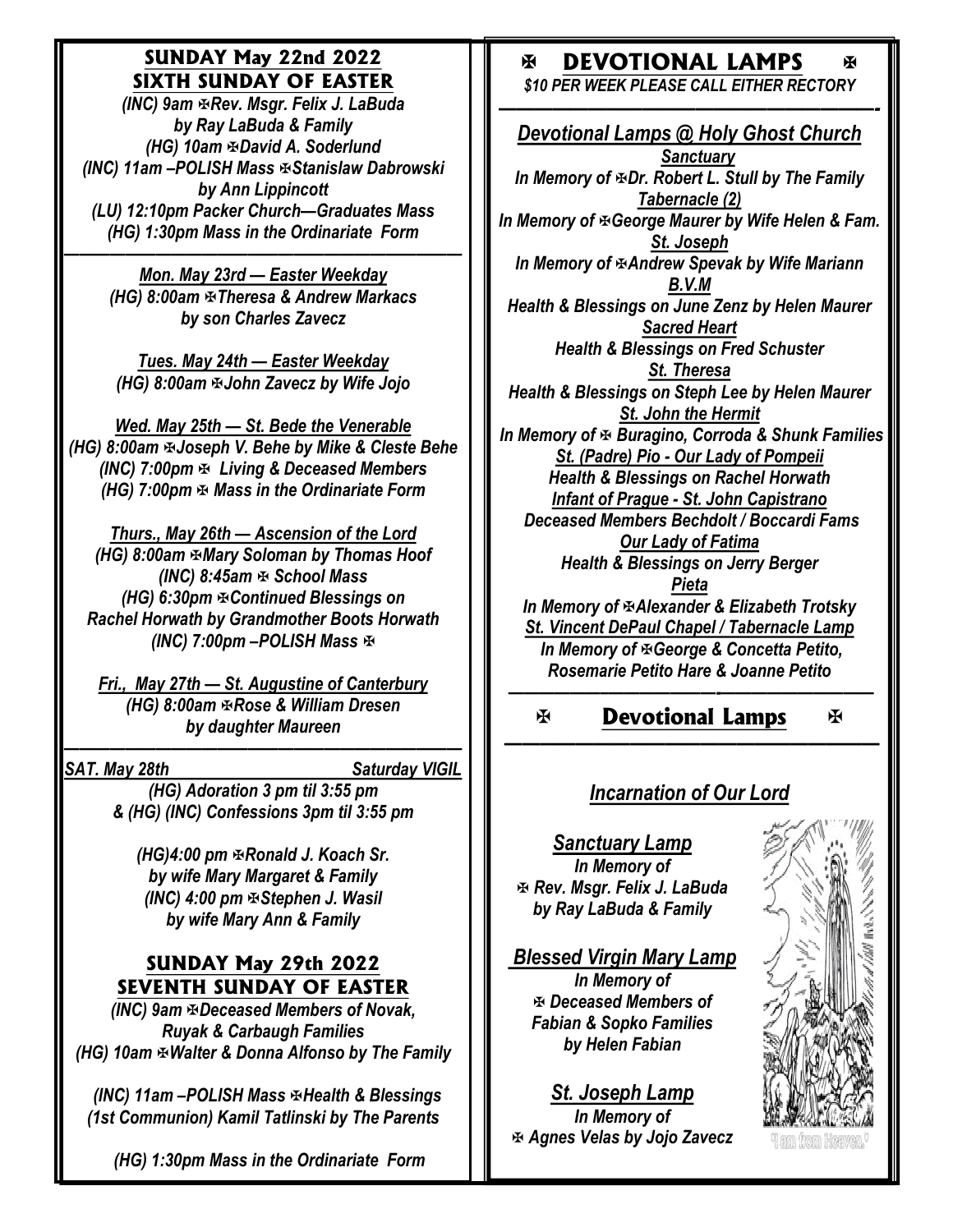### **SUNDAY May 22nd 2022 SIXTH SUNDAY OF EASTER**

*(INC) 9am Rev. Msgr. Felix J. LaBuda by Ray LaBuda & Family (HG)* 10am  $\Phi$ David A. Soderlund *(INC) 11am –POLISH Mass Stanislaw Dabrowski by Ann Lippincott (LU) 12:10pm Packer Church—Graduates Mass (HG) 1:30pm Mass in the Ordinariate Form* 

*—————————————————————————— Mon. May 23rd — Easter Weekday (HG) 8:00am Theresa & Andrew Markacs by son Charles Zavecz*

> *Tues. May 24th — Easter Weekday (HG) 8:00am*  $\overline{x}$ *John Zavecz by Wife Jojo*

*Wed. May 25th — St. Bede the Venerable (HG) 8:00am Joseph V. Behe by Mike & Cleste Behe (INC) 7:00pm*  $\Phi$  *Living & Deceased Members (HG) 7:00pm*  $\Phi$  *Mass in the Ordinariate Form* 

*Thurs., May 26th — Ascension of the Lord (HG) 8:00am Mary Soloman by Thomas Hoof (INC)* 8:45am  $\Phi$  School Mass *(HG) 6:30pm Continued Blessings on Rachel Horwath by Grandmother Boots Horwath (INC) 7:00pm –POLISH Mass* 

*Fri., May 27th — St. Augustine of Canterbury (HG) 8:00am*  $\mathbb R$ *Rose & William Dresen by daughter Maureen* 

*SAT. May 28th Saturday VIGIL* 

*——————————————————————————*

*(HG) Adoration 3 pm til 3:55 pm & (HG) (INC) Confessions 3pm til 3:55 pm*

*(HG)4:00 pm*  $\Phi$ *Ronald J. Koach Sr. by wife Mary Margaret & Family (INC) 4:00 pm Stephen J. Wasil by wife Mary Ann & Family* 

### **SUNDAY May 29th 2022 SEVENTH SUNDAY OF EASTER**

*(INC) 9am Deceased Members of Novak, Ruyak & Carbaugh Families (HG) 10am Walter & Donna Alfonso by The Family*

 *(INC) 11am –POLISH Mass Health & Blessings (1st Communion) Kamil Tatlinski by The Parents*

 *(HG) 1:30pm Mass in the Ordinariate Form* 

## **DEVOTIONAL LAMPS**

*\$10 PER WEEK PLEASE CALL EITHER RECTORY* 

*—————————————————————- Devotional Lamps @ Holy Ghost Church Sanctuary In Memory of*  $E$ *Dr. Robert L. Stull by The Family Tabernacle (2) In Memory of George Maurer by Wife Helen & Fam. St. Joseph In Memory of Andrew Spevak by Wife Mariann B.V.M Health & Blessings on June Zenz by Helen Maurer Sacred Heart Health & Blessings on Fred Schuster St. Theresa Health & Blessings on Steph Lee by Helen Maurer St. John the Hermit In Memory of Buragino, Corroda & Shunk Families St. (Padre) Pio - Our Lady of Pompeii Health & Blessings on Rachel Horwath Infant of Prague - St. John Capistrano Deceased Members Bechdolt / Boccardi Fams Our Lady of Fatima Health & Blessings on Jerry Berger Pieta In Memory of Alexander & Elizabeth Trotsky St. Vincent DePaul Chapel / Tabernacle Lamp In Memory of George & Concetta Petito, Rosemarie Petito Hare & Joanne Petito*

**Devotional Lamps** 

К

### *Incarnation of Our Lord*

*—————————————————————* 

*——————–———————-——————————*

*Sanctuary Lamp In Memory of Rev. Msgr. Felix J. LaBuda by Ray LaBuda & Family*

Ж

*Blessed Virgin Mary Lamp In Memory of Deceased Members of Fabian & Sopko Families by Helen Fabian*

*St. Joseph Lamp In Memory of Agnes Velas by Jojo Zavecz*